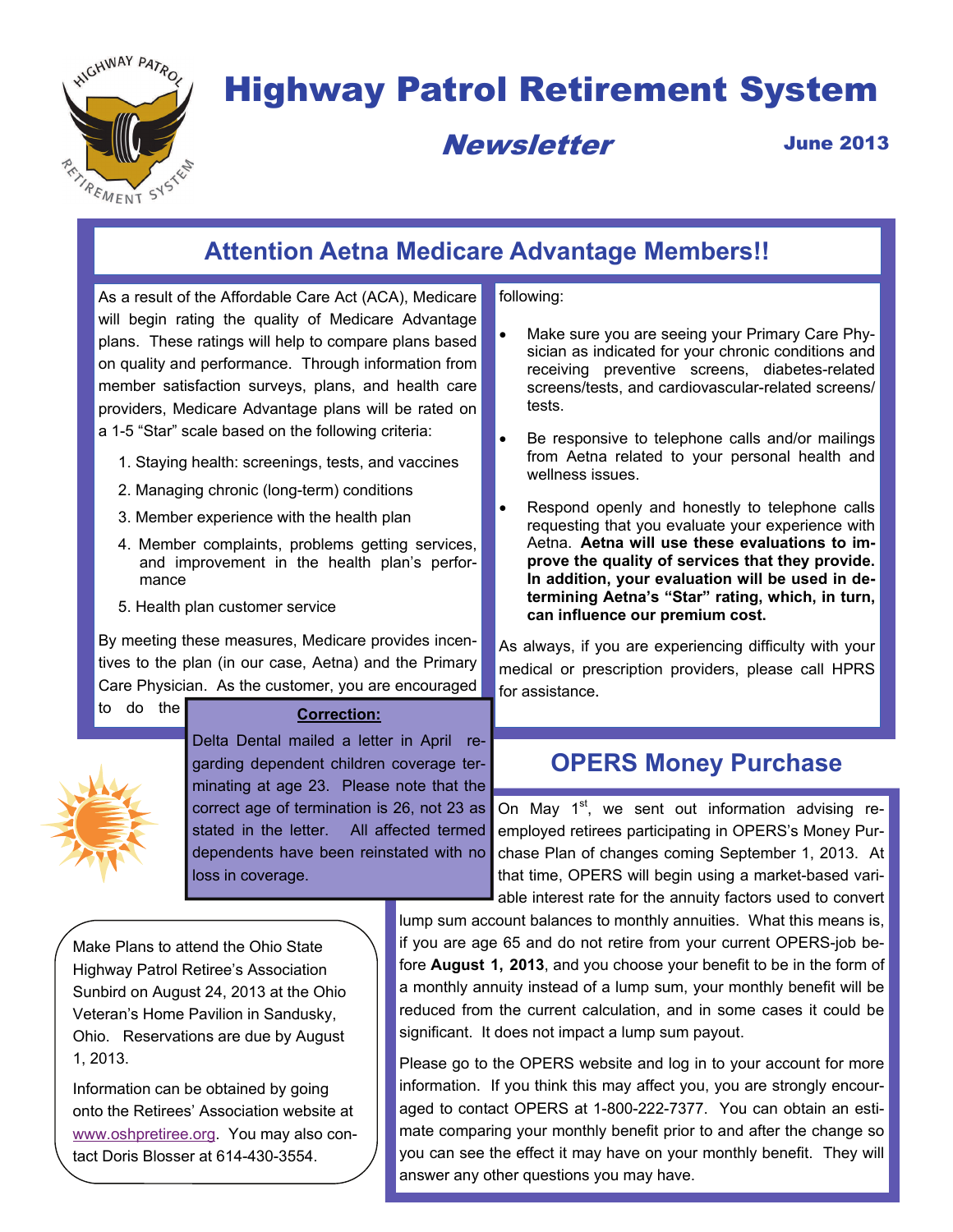

# Highway Patrol Retirement System

# Newsletter

June 2013

# **Attention Aetna Medicare Advantage Members!!**

As a result of the Affordable Care Act (ACA), Medicare will begin rating the quality of Medicare Advantage plans. These ratings will help to compare plans based on quality and performance. Through information from member satisfaction surveys, plans, and health care providers, Medicare Advantage plans will be rated on a 1-5 "Star" scale based on the following criteria:

- 1. Staying health: screenings, tests, and vaccines
- 2. Managing chronic (long-term) conditions
- 3. Member experience with the health plan
- 4. Member complaints, problems getting services, and improvement in the health plan's performance
- 5. Health plan customer service

By meeting these measures, Medicare provides incentives to the plan (in our case, Aetna) and the Primary Care Physician. As the customer, you are encouraged



to do the

#### **Correction:**

Delta Dental mailed a letter in April regarding dependent children coverage terminating at age 23. Please note that the correct age of termination is 26, not 23 as stated in the letter. All affected termed dependents have been reinstated with no loss in coverage.

Make Plans to attend the Ohio State Highway Patrol Retiree's Association Sunbird on August 24, 2013 at the Ohio Veteran's Home Pavilion in Sandusky, Ohio. Reservations are due by August 1, 2013.

Information can be obtained by going onto the Retirees' Association website at [www.oshpretiree.org.](http://www.oshpretiree.org) You may also contact Doris Blosser at 614-430-3554.

following:

- Make sure you are seeing your Primary Care Physician as indicated for your chronic conditions and receiving preventive screens, diabetes-related screens/tests, and cardiovascular-related screens/ tests.
- Be responsive to telephone calls and/or mailings from Aetna related to your personal health and wellness issues.
- Respond openly and honestly to telephone calls requesting that you evaluate your experience with Aetna. **Aetna will use these evaluations to improve the quality of services that they provide. In addition, your evaluation will be used in determining Aetna's "Star" rating, which, in turn, can influence our premium cost.**

As always, if you are experiencing difficulty with your medical or prescription providers, please call HPRS for assistance.

# **OPERS Money Purchase**

On May 1<sup>st</sup>, we sent out information advising reemployed retirees participating in OPERS's Money Purchase Plan of changes coming September 1, 2013. At that time, OPERS will begin using a market-based variable interest rate for the annuity factors used to convert

lump sum account balances to monthly annuities. What this means is, if you are age 65 and do not retire from your current OPERS-job before **August 1, 2013**, and you choose your benefit to be in the form of a monthly annuity instead of a lump sum, your monthly benefit will be reduced from the current calculation, and in some cases it could be significant. It does not impact a lump sum payout.

Please go to the OPERS website and log in to your account for more information. If you think this may affect you, you are strongly encouraged to contact OPERS at 1-800-222-7377. You can obtain an estimate comparing your monthly benefit prior to and after the change so you can see the effect it may have on your monthly benefit. They will answer any other questions you may have.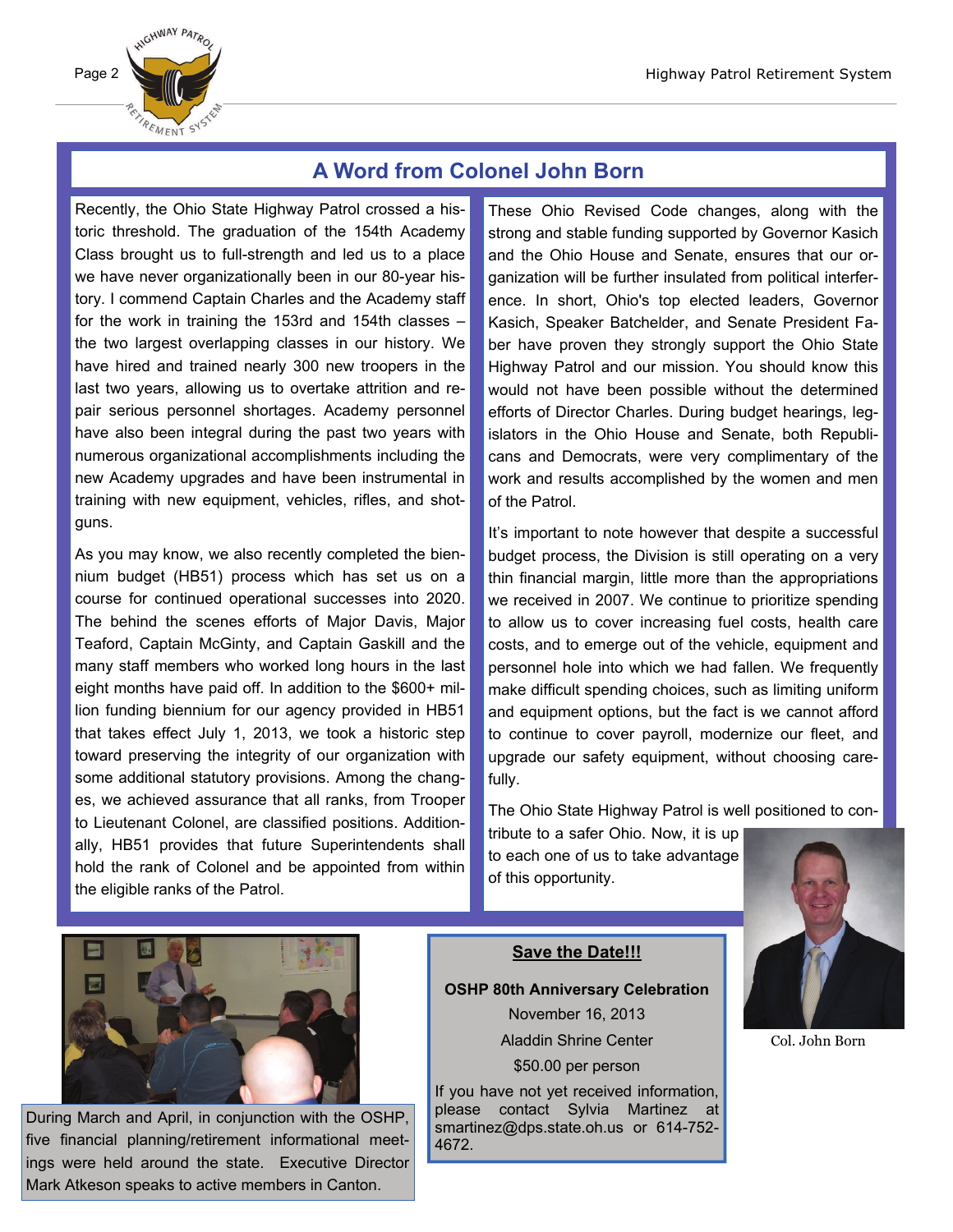

# **A Word from Colonel John Born**

Recently, the Ohio State Highway Patrol crossed a historic threshold. The graduation of the 154th Academy Class brought us to full-strength and led us to a place we have never organizationally been in our 80-year history. I commend Captain Charles and the Academy staff for the work in training the 153rd and 154th classes – the two largest overlapping classes in our history. We have hired and trained nearly 300 new troopers in the last two years, allowing us to overtake attrition and repair serious personnel shortages. Academy personnel have also been integral during the past two years with numerous organizational accomplishments including the new Academy upgrades and have been instrumental in training with new equipment, vehicles, rifles, and shotguns.

As you may know, we also recently completed the biennium budget (HB51) process which has set us on a course for continued operational successes into 2020. The behind the scenes efforts of Major Davis, Major Teaford, Captain McGinty, and Captain Gaskill and the many staff members who worked long hours in the last eight months have paid off. In addition to the \$600+ million funding biennium for our agency provided in HB51 that takes effect July 1, 2013, we took a historic step toward preserving the integrity of our organization with some additional statutory provisions. Among the changes, we achieved assurance that all ranks, from Trooper to Lieutenant Colonel, are classified positions. Additionally, HB51 provides that future Superintendents shall hold the rank of Colonel and be appointed from within the eligible ranks of the Patrol.

These Ohio Revised Code changes, along with the strong and stable funding supported by Governor Kasich and the Ohio House and Senate, ensures that our organization will be further insulated from political interference. In short, Ohio's top elected leaders, Governor Kasich, Speaker Batchelder, and Senate President Faber have proven they strongly support the Ohio State Highway Patrol and our mission. You should know this would not have been possible without the determined efforts of Director Charles. During budget hearings, legislators in the Ohio House and Senate, both Republicans and Democrats, were very complimentary of the work and results accomplished by the women and men of the Patrol.

It's important to note however that despite a successful budget process, the Division is still operating on a very thin financial margin, little more than the appropriations we received in 2007. We continue to prioritize spending to allow us to cover increasing fuel costs, health care costs, and to emerge out of the vehicle, equipment and personnel hole into which we had fallen. We frequently make difficult spending choices, such as limiting uniform and equipment options, but the fact is we cannot afford to continue to cover payroll, modernize our fleet, and upgrade our safety equipment, without choosing carefully.

The Ohio State Highway Patrol is well positioned to con-

tribute to a safer Ohio. Now, it is up to each one of us to take advantage of this opportunity.



During March and April, in conjunction with the OSHP, five financial planning/retirement informational meetings were held around the state. Executive Director Mark Atkeson speaks to active members in Canton.

#### **Save the Date!!!**

**OSHP 80th Anniversary Celebration**  November 16, 2013 Aladdin Shrine Center \$50.00 per person

If you have not yet received information, please contact Sylvia Martinez at smartinez@dps.state.oh.us or 614-752- 4672.



Col. John Born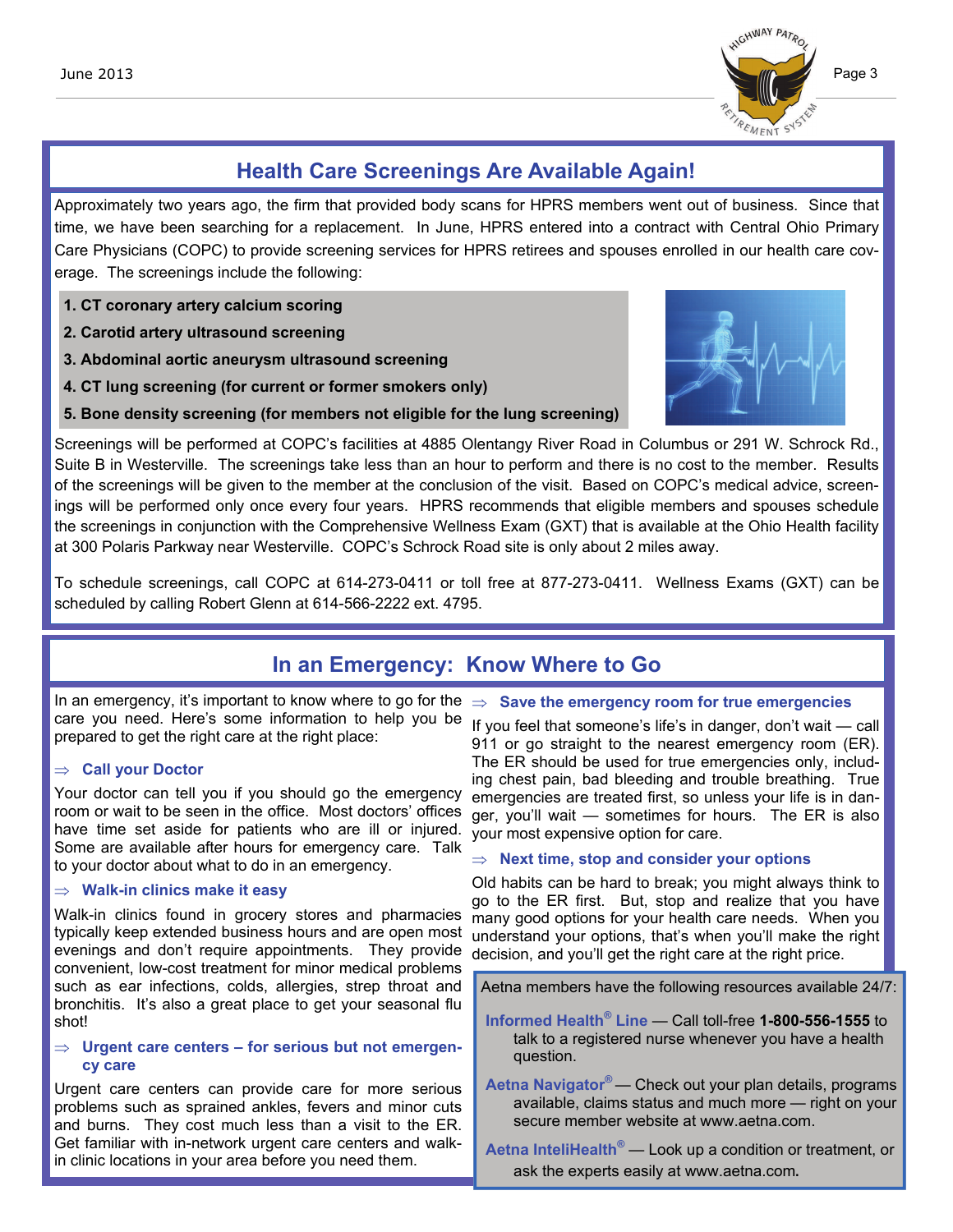

# **Health Care Screenings Are Available Again!**

Approximately two years ago, the firm that provided body scans for HPRS members went out of business. Since that time, we have been searching for a replacement. In June, HPRS entered into a contract with Central Ohio Primary Care Physicians (COPC) to provide screening services for HPRS retirees and spouses enrolled in our health care coverage. The screenings include the following:

- **1. CT coronary artery calcium scoring**
- **2. Carotid artery ultrasound screening**
- **3. Abdominal aortic aneurysm ultrasound screening**
- **4. CT lung screening (for current or former smokers only)**
- **5. Bone density screening (for members not eligible for the lung screening)**



Screenings will be performed at COPC's facilities at 4885 Olentangy River Road in Columbus or 291 W. Schrock Rd., Suite B in Westerville. The screenings take less than an hour to perform and there is no cost to the member. Results of the screenings will be given to the member at the conclusion of the visit. Based on COPC's medical advice, screenings will be performed only once every four years. HPRS recommends that eligible members and spouses schedule the screenings in conjunction with the Comprehensive Wellness Exam (GXT) that is available at the Ohio Health facility at 300 Polaris Parkway near Westerville. COPC's Schrock Road site is only about 2 miles away.

To schedule screenings, call COPC at 614-273-0411 or toll free at 877-273-0411. Wellness Exams (GXT) can be scheduled by calling Robert Glenn at 614-566-2222 ext. 4795.

## **In an Emergency: Know Where to Go**

In an emergency, it's important to know where to go for the  $\Rightarrow$  **Save the emergency room for true emergencies** care you need. Here's some information to help you be prepared to get the right care at the right place:

#### **Call your Doctor**

Your doctor can tell you if you should go the emergency room or wait to be seen in the office. Most doctors' offices have time set aside for patients who are ill or injured. Some are available after hours for emergency care. Talk to your doctor about what to do in an emergency.

#### **Walk-in clinics make it easy**

Walk-in clinics found in grocery stores and pharmacies typically keep extended business hours and are open most evenings and don't require appointments. They provide convenient, low-cost treatment for minor medical problems such as ear infections, colds, allergies, strep throat and bronchitis. It's also a great place to get your seasonal flu shot!

#### **Urgent care centers – for serious but not emergency care**

Urgent care centers can provide care for more serious problems such as sprained ankles, fevers and minor cuts and burns. They cost much less than a visit to the ER. Get familiar with in-network urgent care centers and walkin clinic locations in your area before you need them.

If you feel that someone's life's in danger, don't wait — call 911 or go straight to the nearest emergency room (ER). The ER should be used for true emergencies only, including chest pain, bad bleeding and trouble breathing. True emergencies are treated first, so unless your life is in danger, you'll wait — sometimes for hours. The ER is also your most expensive option for care.

#### **Next time, stop and consider your options**

Old habits can be hard to break; you might always think to go to the ER first. But, stop and realize that you have many good options for your health care needs. When you understand your options, that's when you'll make the right decision, and you'll get the right care at the right price.

Aetna members have the following resources available 24/7:

**Informed Health® Line** — Call toll-free **1-800-556-1555** to talk to a registered nurse whenever you have a health question.

**Aetna Navigator®** — Check out your plan details, programs available, claims status and much more — right on your secure member website at www.aetna.com.

**Aetna InteliHealth®** — Look up a condition or treatment, or ask the experts easily at www.aetna.com.